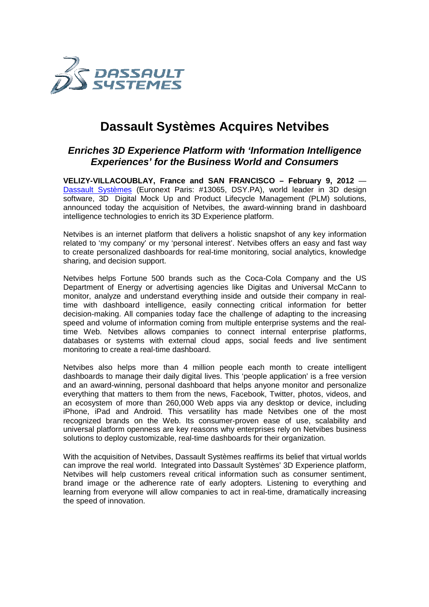

## **Dassault Systèmes Acquires Netvibes Netvibes**

## **Enriches 3D Experience Platform with 'Information Intelligence Experiences' for the Business World and Consumers Business**

**VELIZY-VILLACOUBLAY, France and SAN FRANCISCO – February 9, 2012 —** Dassault Systèmes (Euronext Paris: #13065, DSY.PA), world leader in 3D design software, 3D Digital Mock Up and Product Lifecycle Management (PLM) solutions, announced today the acquisition of Netvibes, the award-winning brand in dashboard intelligence technologies to enrich its 3D Experience platform.

Netvibes is an internet platform that delivers a holistic snapshot of any key information Netvibes is an internet platform that delivers a holistic snapshot of any key information<br>related to 'my company' or my 'personal interest'. Netvibes offers an easy and fast way to create personalized dashboards for real-time monitoring, social analytics, knowledge sharing, and decision support. where, the award-winning brand in dashboard<br>perience platform.<br>s a holistic snapshot of any key information<br>erest'. Netvibes offers an easy and fast way<br>time monitoring, social analytics, knowledge<br>as the Coca-Cola Company

Netvibes helps Fortune 500 brands such as the Coca-Cola Company Department of Energy or advertising agencies like Digitas and Universal McCann to Department of Energy or advertising agencies like Digitas and Universal McCann to<br>monitor, analyze and understand everything inside and outside their company in realtime with dashboard intelligence, easily connecting critical information for better decision-making. All companies today face the challenge of adapting to the increasing time with dashboard intelligence, easily connecting critical information for better<br>decision-making. All companies today face the challenge of adapting to the increasing<br>speed and volume of information coming from multiple time Web. Netvibes allows companies to connect internal enterprise platforms, speed and volume of information coming from multiple enterprise systems and the real-<br>time Web. Netvibes allows companies to connect internal enterprise platforms,<br>databases or systems with external cloud apps, social feed monitoring to create a real-time dashboard. databases or systems with external cloud apps, social feeds and live sentiment<br>monitoring to create a real-time dashboard.<br>Netvibes also helps more than 4 million people each month to create intelligent

dashboards to manage their daily digital lives. This 'people application' is a free version and an award-winning, personal dashboard that helps anyone monitor and personalize<br>everything that matters to them from the news, Facebook, Twitter, photos, videos, and everything that matters to them from the news, Facebook, Twitter, photos, videos, and an ecosystem of more than 260,000 Web apps via any desktop or device, including everything that matters to them from the news, Facebook, Twitter, photos, videos, and<br>an ecosystem of more than 260,000 Web apps via any desktop or device, including<br>iPhone, iPad and Android. This versatility has made Netv recognized brands on the Web. Its consumer-proven ease of use, scalability and recognized brands on the Web. Its consumer-proven ease of use, scalability and<br>universal platform openness are key reasons why enterprises rely on Netvibes business solutions to deploy customizable, real-time dashboards for their organization.

With the acquisition of Netvibes, Dassault Systèmes reaffirms its belief that virtual worlds can improve the real world. Integrated into Dassault Systèmes' 3D Experience platform, Netvibes will help customers reveal critical information such as consumer sentiment, brand image or the adherence rate of early adopters. Listening to everything and brand image or the adherence rate of early adopters. Listening to everything and learning from everyone will allow companies to act in real-time, dramatically the speed of innovation. time dashboards for their organization.<br>
ault Systèmes reaffirms its belief that virtual worlds<br>
I into Dassault Systèmes' 3D Experience platform,<br>
critical information such as consumer sentiment,<br>
of early adopters. Liste